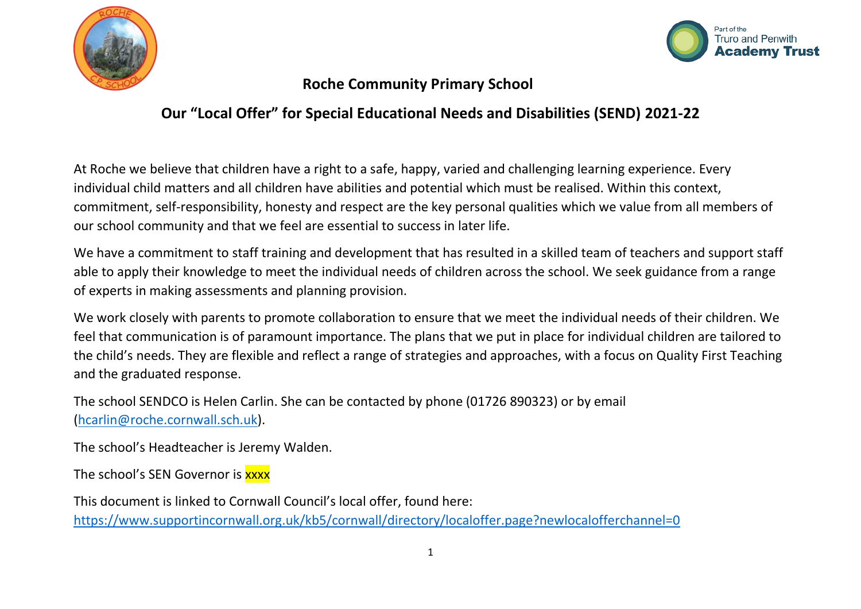



### **Roche Community Primary School**

### **Our "Local Offer" for Special Educational Needs and Disabilities (SEND) 2021-22**

At Roche we believe that children have a right to a safe, happy, varied and challenging learning experience. Every individual child matters and all children have abilities and potential which must be realised. Within this context, commitment, self-responsibility, honesty and respect are the key personal qualities which we value from all members of our school community and that we feel are essential to success in later life.

We have a commitment to staff training and development that has resulted in a skilled team of teachers and support staff able to apply their knowledge to meet the individual needs of children across the school. We seek guidance from a range of experts in making assessments and planning provision.

We work closely with parents to promote collaboration to ensure that we meet the individual needs of their children. We feel that communication is of paramount importance. The plans that we put in place for individual children are tailored to the child's needs. They are flexible and reflect a range of strategies and approaches, with a focus on Quality First Teaching and the graduated response.

The school SENDCO is Helen Carlin. She can be contacted by phone (01726 890323) or by email [\(hcarlin@roche.cornwall.sch.uk\)](mailto:hcarlin@roche.cornwall.sch.uk).

The school's Headteacher is Jeremy Walden.

The school's SEN Governor is xxxx

This document is linked to Cornwall Council's local offer, found here: <https://www.supportincornwall.org.uk/kb5/cornwall/directory/localoffer.page?newlocalofferchannel=0>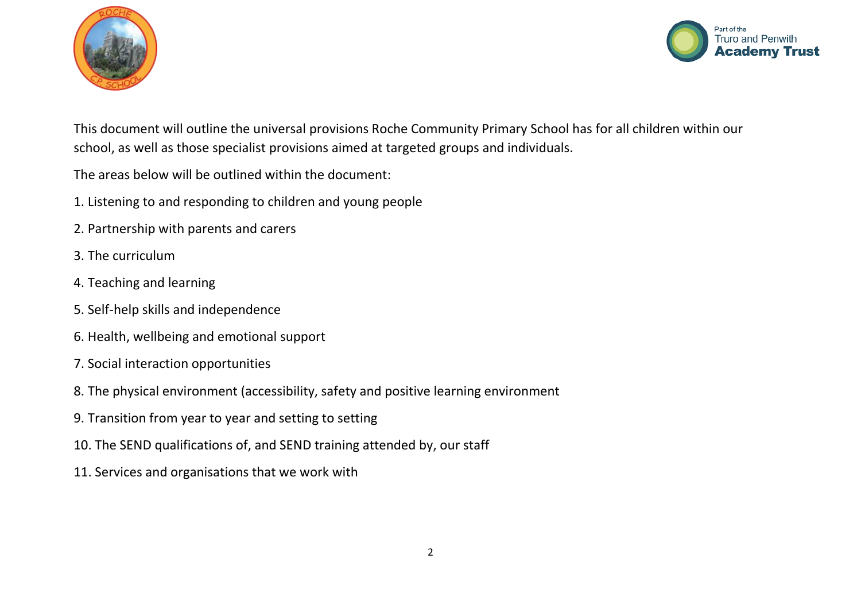



This document will outline the universal provisions Roche Community Primary School has for all children within our school, as well as those specialist provisions aimed at targeted groups and individuals.

The areas below will be outlined within the document:

- 1. Listening to and responding to children and young people
- 2. Partnership with parents and carers
- 3. The curriculum
- 4. Teaching and learning
- 5. Self-help skills and independence
- 6. Health, wellbeing and emotional support
- 7. Social interaction opportunities
- 8. The physical environment (accessibility, safety and positive learning environment
- 9. Transition from year to year and setting to setting
- 10. The SEND qualifications of, and SEND training attended by, our staff
- 11. Services and organisations that we work with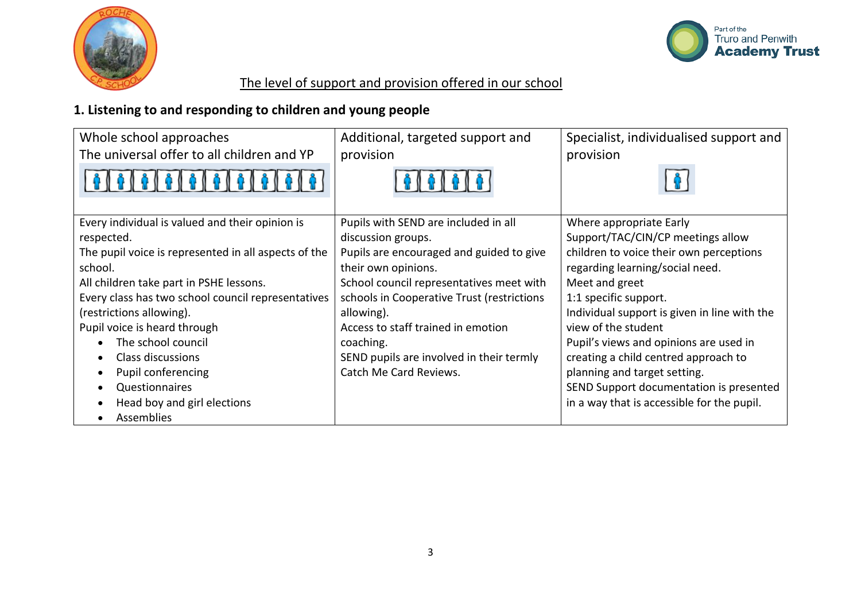



# The level of support and provision offered in our school

# **1. Listening to and responding to children and young people**

| Whole school approaches                              | Additional, targeted support and           | Specialist, individualised support and       |
|------------------------------------------------------|--------------------------------------------|----------------------------------------------|
| The universal offer to all children and YP           | provision                                  | provision                                    |
| 101010101                                            |                                            |                                              |
| Every individual is valued and their opinion is      | Pupils with SEND are included in all       | Where appropriate Early                      |
| respected.                                           | discussion groups.                         | Support/TAC/CIN/CP meetings allow            |
| The pupil voice is represented in all aspects of the | Pupils are encouraged and guided to give   | children to voice their own perceptions      |
| school.                                              | their own opinions.                        | regarding learning/social need.              |
| All children take part in PSHE lessons.              | School council representatives meet with   | Meet and greet                               |
| Every class has two school council representatives   | schools in Cooperative Trust (restrictions | 1:1 specific support.                        |
| (restrictions allowing).                             | allowing).                                 | Individual support is given in line with the |
| Pupil voice is heard through                         | Access to staff trained in emotion         | view of the student                          |
| The school council                                   | coaching.                                  | Pupil's views and opinions are used in       |
| Class discussions                                    | SEND pupils are involved in their termly   | creating a child centred approach to         |
| Pupil conferencing                                   | Catch Me Card Reviews.                     | planning and target setting.                 |
| Questionnaires                                       |                                            | SEND Support documentation is presented      |
| Head boy and girl elections                          |                                            | in a way that is accessible for the pupil.   |
| Assemblies                                           |                                            |                                              |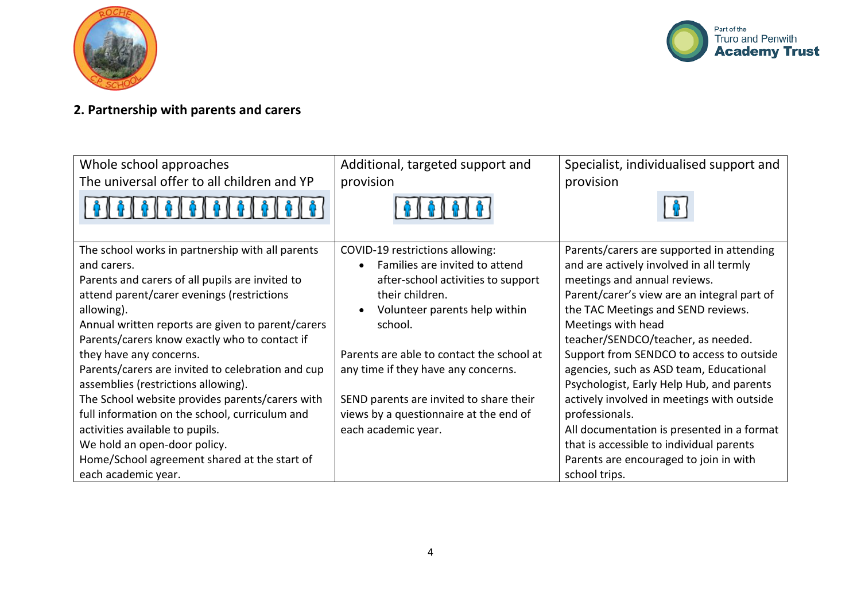



# **2. Partnership with parents and carers**

| Whole school approaches<br>The universal offer to all children and YP                                                                                                                                                                                                                                                                                                                                                                                                                                                                                                                                                                                      | Additional, targeted support and<br>provision                                                                                                                                                                                                                                                                                                                                       | Specialist, individualised support and<br>provision                                                                                                                                                                                                                                                                                                                                                                                                                                                                                                                                                                            |
|------------------------------------------------------------------------------------------------------------------------------------------------------------------------------------------------------------------------------------------------------------------------------------------------------------------------------------------------------------------------------------------------------------------------------------------------------------------------------------------------------------------------------------------------------------------------------------------------------------------------------------------------------------|-------------------------------------------------------------------------------------------------------------------------------------------------------------------------------------------------------------------------------------------------------------------------------------------------------------------------------------------------------------------------------------|--------------------------------------------------------------------------------------------------------------------------------------------------------------------------------------------------------------------------------------------------------------------------------------------------------------------------------------------------------------------------------------------------------------------------------------------------------------------------------------------------------------------------------------------------------------------------------------------------------------------------------|
| The school works in partnership with all parents<br>and carers.<br>Parents and carers of all pupils are invited to<br>attend parent/carer evenings (restrictions<br>allowing).<br>Annual written reports are given to parent/carers<br>Parents/carers know exactly who to contact if<br>they have any concerns.<br>Parents/carers are invited to celebration and cup<br>assemblies (restrictions allowing).<br>The School website provides parents/carers with<br>full information on the school, curriculum and<br>activities available to pupils.<br>We hold an open-door policy.<br>Home/School agreement shared at the start of<br>each academic year. | COVID-19 restrictions allowing:<br>Families are invited to attend<br>$\bullet$<br>after-school activities to support<br>their children.<br>Volunteer parents help within<br>school.<br>Parents are able to contact the school at<br>any time if they have any concerns.<br>SEND parents are invited to share their<br>views by a questionnaire at the end of<br>each academic year. | Parents/carers are supported in attending<br>and are actively involved in all termly<br>meetings and annual reviews.<br>Parent/carer's view are an integral part of<br>the TAC Meetings and SEND reviews.<br>Meetings with head<br>teacher/SENDCO/teacher, as needed.<br>Support from SENDCO to access to outside<br>agencies, such as ASD team, Educational<br>Psychologist, Early Help Hub, and parents<br>actively involved in meetings with outside<br>professionals.<br>All documentation is presented in a format<br>that is accessible to individual parents<br>Parents are encouraged to join in with<br>school trips. |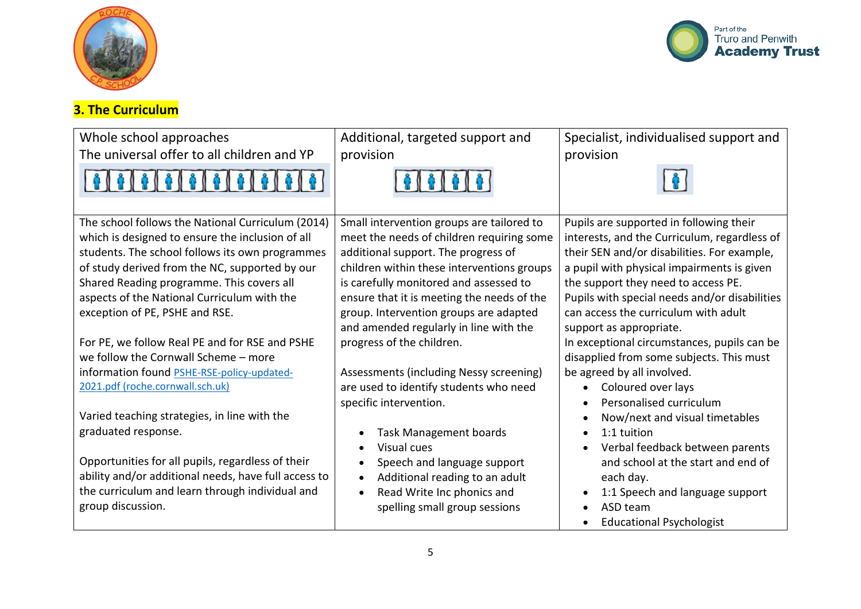



# **3. The Curriculum**

| Whole school approaches                                                                                                                                                                                                                                                                                                                  | Additional, targeted support and                                                                                                                                                                                                                                                                              | Specialist, individualised support and                                                                                                                                                                                                                                                                               |
|------------------------------------------------------------------------------------------------------------------------------------------------------------------------------------------------------------------------------------------------------------------------------------------------------------------------------------------|---------------------------------------------------------------------------------------------------------------------------------------------------------------------------------------------------------------------------------------------------------------------------------------------------------------|----------------------------------------------------------------------------------------------------------------------------------------------------------------------------------------------------------------------------------------------------------------------------------------------------------------------|
| The universal offer to all children and YP                                                                                                                                                                                                                                                                                               | provision                                                                                                                                                                                                                                                                                                     | provision                                                                                                                                                                                                                                                                                                            |
|                                                                                                                                                                                                                                                                                                                                          |                                                                                                                                                                                                                                                                                                               |                                                                                                                                                                                                                                                                                                                      |
| The school follows the National Curriculum (2014)<br>which is designed to ensure the inclusion of all<br>students. The school follows its own programmes<br>of study derived from the NC, supported by our<br>Shared Reading programme. This covers all<br>aspects of the National Curriculum with the<br>exception of PE, PSHE and RSE. | Small intervention groups are tailored to<br>meet the needs of children requiring some<br>additional support. The progress of<br>children within these interventions groups<br>is carefully monitored and assessed to<br>ensure that it is meeting the needs of the<br>group. Intervention groups are adapted | Pupils are supported in following their<br>interests, and the Curriculum, regardless of<br>their SEN and/or disabilities. For example,<br>a pupil with physical impairments is given<br>the support they need to access PE.<br>Pupils with special needs and/or disabilities<br>can access the curriculum with adult |
| For PE, we follow Real PE and for RSE and PSHE<br>we follow the Cornwall Scheme - more<br>information found PSHE-RSE-policy-updated-<br>2021.pdf (roche.cornwall.sch.uk)                                                                                                                                                                 | and amended regularly in line with the<br>progress of the children.<br>Assessments (including Nessy screening)<br>are used to identify students who need<br>specific intervention.                                                                                                                            | support as appropriate.<br>In exceptional circumstances, pupils can be<br>disapplied from some subjects. This must<br>be agreed by all involved.<br>Coloured over lays<br>Personalised curriculum                                                                                                                    |
| Varied teaching strategies, in line with the<br>graduated response.<br>Opportunities for all pupils, regardless of their<br>ability and/or additional needs, have full access to<br>the curriculum and learn through individual and                                                                                                      | <b>Task Management boards</b><br>Visual cues<br>Speech and language support<br>Additional reading to an adult<br>Read Write Inc phonics and                                                                                                                                                                   | Now/next and visual timetables<br>1:1 tuition<br>Verbal feedback between parents<br>and school at the start and end of<br>each day.<br>1:1 Speech and language support                                                                                                                                               |
| group discussion.                                                                                                                                                                                                                                                                                                                        | spelling small group sessions                                                                                                                                                                                                                                                                                 | ASD team<br><b>Educational Psychologist</b>                                                                                                                                                                                                                                                                          |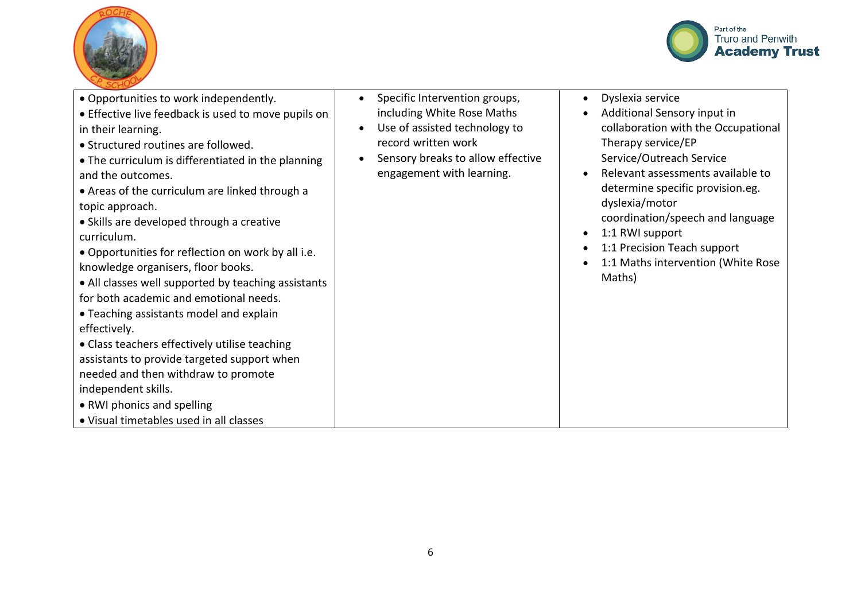



| · Opportunities to work independently.<br>• Effective live feedback is used to move pupils on<br>in their learning.<br>• Structured routines are followed.<br>• The curriculum is differentiated in the planning<br>and the outcomes.<br>• Areas of the curriculum are linked through a<br>topic approach.<br>• Skills are developed through a creative<br>curriculum.<br>. Opportunities for reflection on work by all i.e.<br>knowledge organisers, floor books.<br>• All classes well supported by teaching assistants<br>for both academic and emotional needs.<br>• Teaching assistants model and explain<br>effectively.<br>• Class teachers effectively utilise teaching<br>assistants to provide targeted support when<br>needed and then withdraw to promote<br>independent skills.<br>• RWI phonics and spelling<br>• Visual timetables used in all classes | Specific Intervention groups,<br>$\bullet$<br>including White Rose Maths<br>Use of assisted technology to<br>record written work<br>Sensory breaks to allow effective<br>engagement with learning. | Dyslexia service<br>Additional Sensory input in<br>collaboration with the Occupational<br>Therapy service/EP<br>Service/Outreach Service<br>Relevant assessments available to<br>determine specific provision.eg.<br>dyslexia/motor<br>coordination/speech and language<br>1:1 RWI support<br>1:1 Precision Teach support<br>1:1 Maths intervention (White Rose<br>Maths) |
|-----------------------------------------------------------------------------------------------------------------------------------------------------------------------------------------------------------------------------------------------------------------------------------------------------------------------------------------------------------------------------------------------------------------------------------------------------------------------------------------------------------------------------------------------------------------------------------------------------------------------------------------------------------------------------------------------------------------------------------------------------------------------------------------------------------------------------------------------------------------------|----------------------------------------------------------------------------------------------------------------------------------------------------------------------------------------------------|---------------------------------------------------------------------------------------------------------------------------------------------------------------------------------------------------------------------------------------------------------------------------------------------------------------------------------------------------------------------------|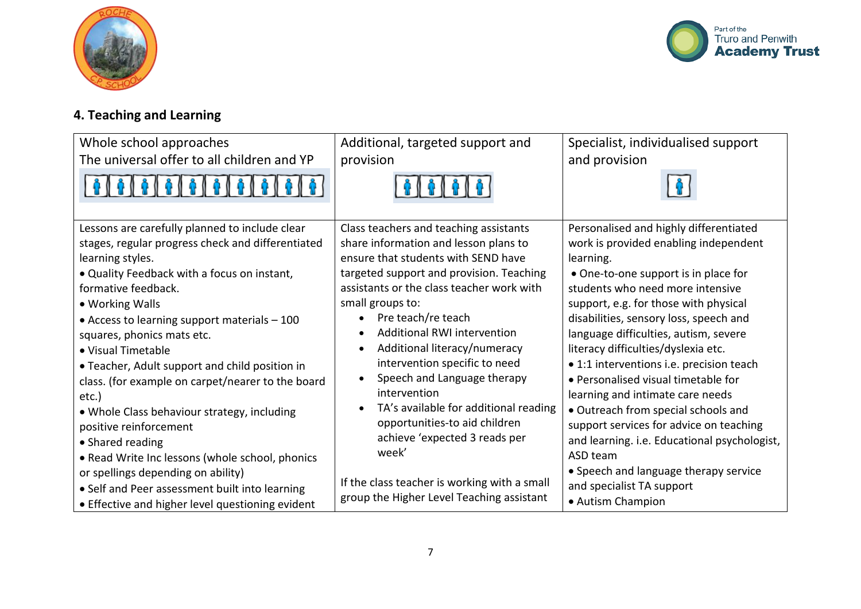



# **4. Teaching and Learning**

| Whole school approaches                                                                                                                                                                                                                                                                                                                                                                                                                                                                                                                                                              | Additional, targeted support and                                                                                                                                                                                                                                                                                                                                                                                                                                                                                                    | Specialist, individualised support                                                                                                                                                                                                                                                                                                                                                                                                                                                                                                                                                                               |
|--------------------------------------------------------------------------------------------------------------------------------------------------------------------------------------------------------------------------------------------------------------------------------------------------------------------------------------------------------------------------------------------------------------------------------------------------------------------------------------------------------------------------------------------------------------------------------------|-------------------------------------------------------------------------------------------------------------------------------------------------------------------------------------------------------------------------------------------------------------------------------------------------------------------------------------------------------------------------------------------------------------------------------------------------------------------------------------------------------------------------------------|------------------------------------------------------------------------------------------------------------------------------------------------------------------------------------------------------------------------------------------------------------------------------------------------------------------------------------------------------------------------------------------------------------------------------------------------------------------------------------------------------------------------------------------------------------------------------------------------------------------|
| The universal offer to all children and YP                                                                                                                                                                                                                                                                                                                                                                                                                                                                                                                                           | provision                                                                                                                                                                                                                                                                                                                                                                                                                                                                                                                           | and provision                                                                                                                                                                                                                                                                                                                                                                                                                                                                                                                                                                                                    |
|                                                                                                                                                                                                                                                                                                                                                                                                                                                                                                                                                                                      |                                                                                                                                                                                                                                                                                                                                                                                                                                                                                                                                     |                                                                                                                                                                                                                                                                                                                                                                                                                                                                                                                                                                                                                  |
| Lessons are carefully planned to include clear<br>stages, regular progress check and differentiated<br>learning styles.<br>. Quality Feedback with a focus on instant,<br>formative feedback.<br>• Working Walls<br>• Access to learning support materials - 100<br>squares, phonics mats etc.<br>• Visual Timetable<br>• Teacher, Adult support and child position in<br>class. (for example on carpet/nearer to the board<br>etc.)<br>. Whole Class behaviour strategy, including<br>positive reinforcement<br>• Shared reading<br>. Read Write Inc lessons (whole school, phonics | Class teachers and teaching assistants<br>share information and lesson plans to<br>ensure that students with SEND have<br>targeted support and provision. Teaching<br>assistants or the class teacher work with<br>small groups to:<br>Pre teach/re teach<br><b>Additional RWI intervention</b><br>Additional literacy/numeracy<br>intervention specific to need<br>Speech and Language therapy<br>intervention<br>TA's available for additional reading<br>opportunities-to aid children<br>achieve 'expected 3 reads per<br>week' | Personalised and highly differentiated<br>work is provided enabling independent<br>learning.<br>• One-to-one support is in place for<br>students who need more intensive<br>support, e.g. for those with physical<br>disabilities, sensory loss, speech and<br>language difficulties, autism, severe<br>literacy difficulties/dyslexia etc.<br>• 1:1 interventions i.e. precision teach<br>• Personalised visual timetable for<br>learning and intimate care needs<br>• Outreach from special schools and<br>support services for advice on teaching<br>and learning. i.e. Educational psychologist,<br>ASD team |
| or spellings depending on ability)<br>• Self and Peer assessment built into learning<br>• Effective and higher level questioning evident                                                                                                                                                                                                                                                                                                                                                                                                                                             | If the class teacher is working with a small<br>group the Higher Level Teaching assistant                                                                                                                                                                                                                                                                                                                                                                                                                                           | • Speech and language therapy service<br>and specialist TA support<br>• Autism Champion                                                                                                                                                                                                                                                                                                                                                                                                                                                                                                                          |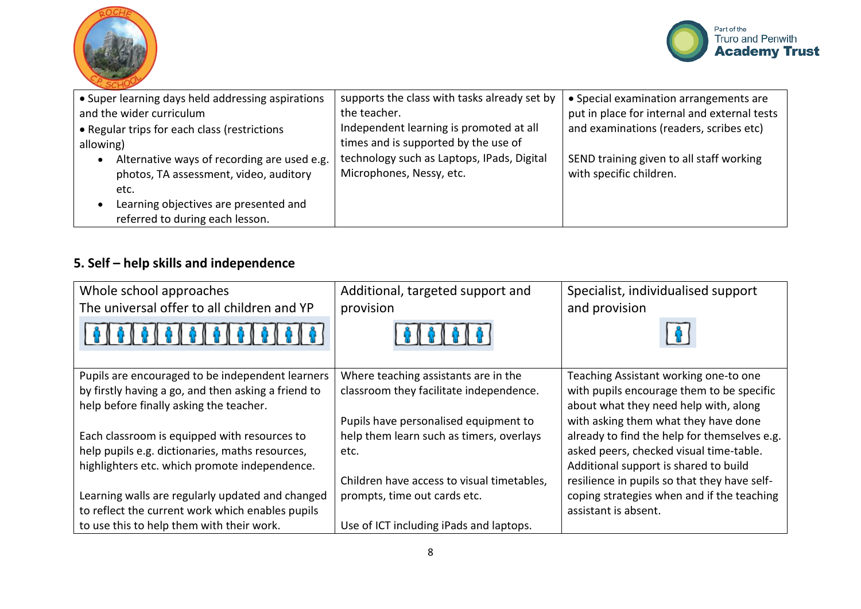



| • Super learning days held addressing aspirations        | supports the class with tasks already set by | • Special examination arrangements are       |
|----------------------------------------------------------|----------------------------------------------|----------------------------------------------|
| and the wider curriculum                                 | the teacher.                                 | put in place for internal and external tests |
| • Regular trips for each class (restrictions             | Independent learning is promoted at all      | and examinations (readers, scribes etc)      |
| allowing)                                                | times and is supported by the use of         |                                              |
| Alternative ways of recording are used e.g.<br>$\bullet$ | technology such as Laptops, IPads, Digital   | SEND training given to all staff working     |
| photos, TA assessment, video, auditory                   | Microphones, Nessy, etc.                     | with specific children.                      |
| etc.                                                     |                                              |                                              |
| Learning objectives are presented and<br>$\bullet$       |                                              |                                              |
| referred to during each lesson.                          |                                              |                                              |

# **5. Self – help skills and independence**

| Whole school approaches<br>The universal offer to all children and YP | Additional, targeted support and<br>provision | Specialist, individualised support<br>and provision |
|-----------------------------------------------------------------------|-----------------------------------------------|-----------------------------------------------------|
|                                                                       |                                               |                                                     |
|                                                                       |                                               |                                                     |
|                                                                       |                                               |                                                     |
| Pupils are encouraged to be independent learners                      | Where teaching assistants are in the          | Teaching Assistant working one-to one               |
| by firstly having a go, and then asking a friend to                   | classroom they facilitate independence.       | with pupils encourage them to be specific           |
| help before finally asking the teacher.                               |                                               | about what they need help with, along               |
|                                                                       | Pupils have personalised equipment to         | with asking them what they have done                |
| Each classroom is equipped with resources to                          | help them learn such as timers, overlays      | already to find the help for themselves e.g.        |
| help pupils e.g. dictionaries, maths resources,                       | etc.                                          | asked peers, checked visual time-table.             |
| highlighters etc. which promote independence.                         |                                               | Additional support is shared to build               |
|                                                                       | Children have access to visual timetables,    | resilience in pupils so that they have self-        |
| Learning walls are regularly updated and changed                      | prompts, time out cards etc.                  | coping strategies when and if the teaching          |
| to reflect the current work which enables pupils                      |                                               | assistant is absent.                                |
| to use this to help them with their work.                             | Use of ICT including iPads and laptops.       |                                                     |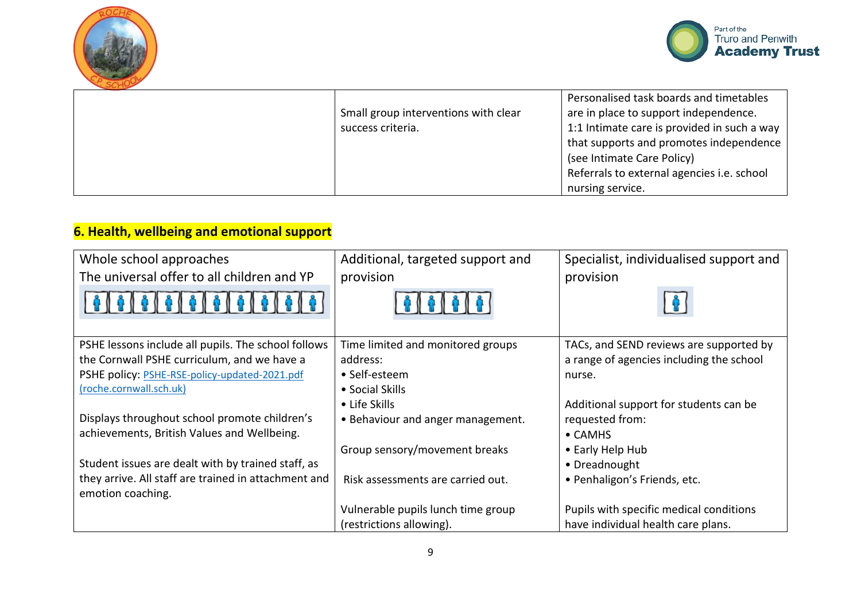



|                                      | Personalised task boards and timetables     |
|--------------------------------------|---------------------------------------------|
| Small group interventions with clear | are in place to support independence.       |
| success criteria.                    | 1:1 Intimate care is provided in such a way |
|                                      | that supports and promotes independence     |
|                                      | (see Intimate Care Policy)                  |
|                                      | Referrals to external agencies i.e. school  |
|                                      | nursing service.                            |

# **6. Health, wellbeing and emotional support**

| Whole school approaches                              | Additional, targeted support and   | Specialist, individualised support and   |
|------------------------------------------------------|------------------------------------|------------------------------------------|
| The universal offer to all children and YP           | provision                          | provision                                |
| 0   0   0   0   0   0   0   0                        |                                    |                                          |
| PSHE lessons include all pupils. The school follows  | Time limited and monitored groups  | TACs, and SEND reviews are supported by  |
| the Cornwall PSHE curriculum, and we have a          | address:                           | a range of agencies including the school |
| PSHE policy: PSHE-RSE-policy-updated-2021.pdf        | • Self-esteem                      | nurse.                                   |
| (roche.cornwall.sch.uk)                              | • Social Skills                    |                                          |
|                                                      | $\bullet$ Life Skills              | Additional support for students can be   |
| Displays throughout school promote children's        | • Behaviour and anger management.  | requested from:                          |
| achievements, British Values and Wellbeing.          |                                    | $\bullet$ CAMHS                          |
|                                                      | Group sensory/movement breaks      | • Early Help Hub                         |
| Student issues are dealt with by trained staff, as   |                                    | • Dreadnought                            |
| they arrive. All staff are trained in attachment and | Risk assessments are carried out.  | • Penhaligon's Friends, etc.             |
| emotion coaching.                                    |                                    |                                          |
|                                                      | Vulnerable pupils lunch time group | Pupils with specific medical conditions  |
|                                                      | (restrictions allowing).           | have individual health care plans.       |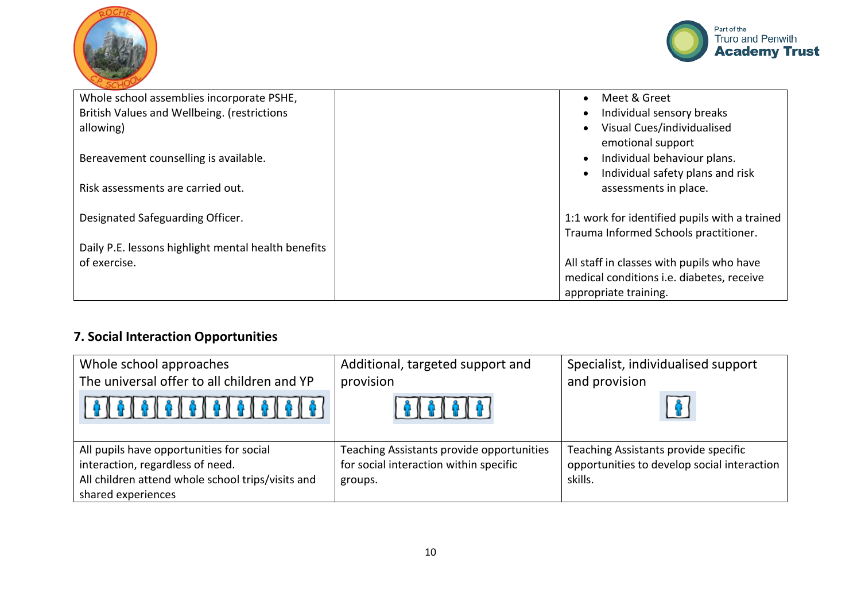



| Whole school assemblies incorporate PSHE,           | Meet & Greet<br>$\bullet$                     |
|-----------------------------------------------------|-----------------------------------------------|
| British Values and Wellbeing. (restrictions         | Individual sensory breaks<br>$\bullet$        |
| allowing)                                           | Visual Cues/individualised<br>$\bullet$       |
|                                                     | emotional support                             |
| Bereavement counselling is available.               | Individual behaviour plans.<br>$\bullet$      |
|                                                     | Individual safety plans and risk<br>$\bullet$ |
| Risk assessments are carried out.                   | assessments in place.                         |
|                                                     |                                               |
| Designated Safeguarding Officer.                    | 1:1 work for identified pupils with a trained |
|                                                     | Trauma Informed Schools practitioner.         |
| Daily P.E. lessons highlight mental health benefits |                                               |
| of exercise.                                        | All staff in classes with pupils who have     |
|                                                     | medical conditions i.e. diabetes, receive     |
|                                                     | appropriate training.                         |

# **7. Social Interaction Opportunities**

| Whole school approaches                                                      | Additional, targeted support and                                                    | Specialist, individualised support                                                  |
|------------------------------------------------------------------------------|-------------------------------------------------------------------------------------|-------------------------------------------------------------------------------------|
| The universal offer to all children and YP                                   | provision                                                                           | and provision                                                                       |
|                                                                              |                                                                                     |                                                                                     |
| All pupils have opportunities for social<br>interaction, regardless of need. | Teaching Assistants provide opportunities<br>for social interaction within specific | Teaching Assistants provide specific<br>opportunities to develop social interaction |
| All children attend whole school trips/visits and                            | groups.                                                                             | skills.                                                                             |
| shared experiences                                                           |                                                                                     |                                                                                     |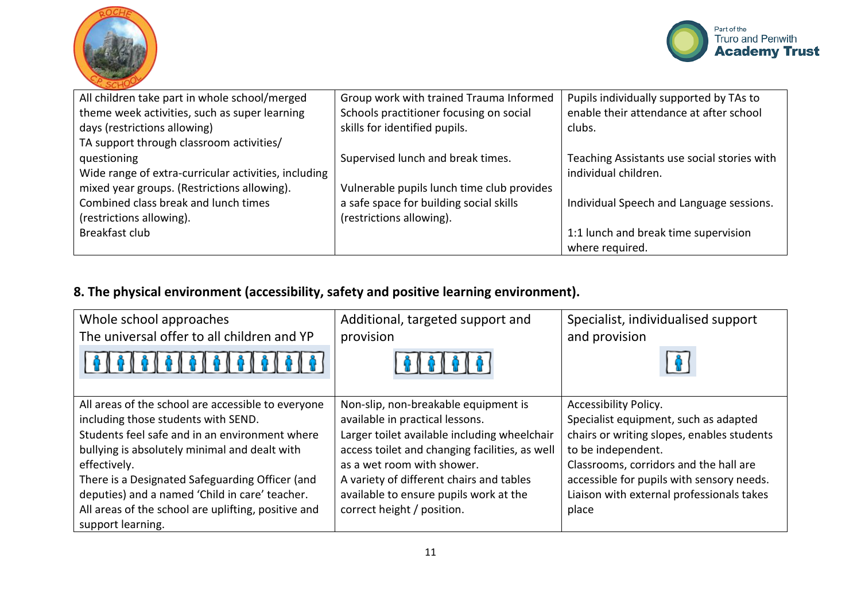



| All children take part in whole school/merged        | Group work with trained Trauma Informed    | Pupils individually supported by TAs to     |
|------------------------------------------------------|--------------------------------------------|---------------------------------------------|
| theme week activities, such as super learning        | Schools practitioner focusing on social    | enable their attendance at after school     |
| days (restrictions allowing)                         | skills for identified pupils.              | clubs.                                      |
| TA support through classroom activities/             |                                            |                                             |
| questioning                                          | Supervised lunch and break times.          | Teaching Assistants use social stories with |
| Wide range of extra-curricular activities, including |                                            | individual children.                        |
| mixed year groups. (Restrictions allowing).          | Vulnerable pupils lunch time club provides |                                             |
| Combined class break and lunch times                 | a safe space for building social skills    | Individual Speech and Language sessions.    |
| (restrictions allowing).                             | (restrictions allowing).                   |                                             |
| Breakfast club                                       |                                            | 1:1 lunch and break time supervision        |
|                                                      |                                            | where required.                             |

# **8. The physical environment (accessibility, safety and positive learning environment).**

| Whole school approaches<br>The universal offer to all children and YP                                                                                                                                                                                                                                                                                                                         | Additional, targeted support and<br>provision                                                                                                                                                                                                                                                                               | Specialist, individualised support<br>and provision                                                                                                                                                                                                                             |
|-----------------------------------------------------------------------------------------------------------------------------------------------------------------------------------------------------------------------------------------------------------------------------------------------------------------------------------------------------------------------------------------------|-----------------------------------------------------------------------------------------------------------------------------------------------------------------------------------------------------------------------------------------------------------------------------------------------------------------------------|---------------------------------------------------------------------------------------------------------------------------------------------------------------------------------------------------------------------------------------------------------------------------------|
|                                                                                                                                                                                                                                                                                                                                                                                               | 0.616161                                                                                                                                                                                                                                                                                                                    |                                                                                                                                                                                                                                                                                 |
| All areas of the school are accessible to everyone<br>including those students with SEND.<br>Students feel safe and in an environment where<br>bullying is absolutely minimal and dealt with<br>effectively.<br>There is a Designated Safeguarding Officer (and<br>deputies) and a named 'Child in care' teacher.<br>All areas of the school are uplifting, positive and<br>support learning. | Non-slip, non-breakable equipment is<br>available in practical lessons.<br>Larger toilet available including wheelchair<br>access toilet and changing facilities, as well<br>as a wet room with shower.<br>A variety of different chairs and tables<br>available to ensure pupils work at the<br>correct height / position. | Accessibility Policy.<br>Specialist equipment, such as adapted<br>chairs or writing slopes, enables students<br>to be independent.<br>Classrooms, corridors and the hall are<br>accessible for pupils with sensory needs.<br>Liaison with external professionals takes<br>place |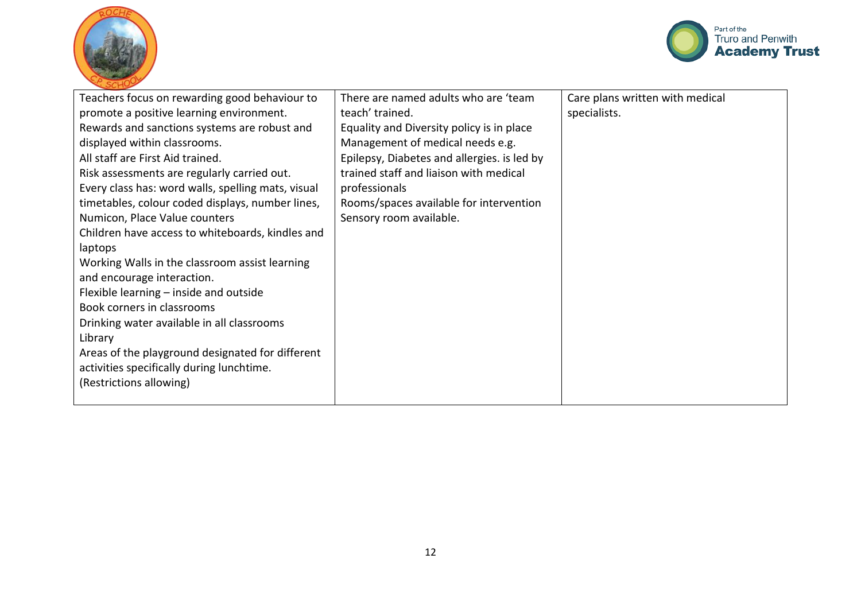



| Teachers focus on rewarding good behaviour to<br>promote a positive learning environment.<br>Rewards and sanctions systems are robust and<br>displayed within classrooms.<br>All staff are First Aid trained. | There are named adults who are 'team<br>teach' trained.<br>Equality and Diversity policy is in place<br>Management of medical needs e.g.<br>Epilepsy, Diabetes and allergies. is led by<br>trained staff and liaison with medical | Care plans written with medical<br>specialists. |
|---------------------------------------------------------------------------------------------------------------------------------------------------------------------------------------------------------------|-----------------------------------------------------------------------------------------------------------------------------------------------------------------------------------------------------------------------------------|-------------------------------------------------|
| Risk assessments are regularly carried out.<br>Every class has: word walls, spelling mats, visual                                                                                                             | professionals                                                                                                                                                                                                                     |                                                 |
| timetables, colour coded displays, number lines,                                                                                                                                                              | Rooms/spaces available for intervention                                                                                                                                                                                           |                                                 |
| Numicon, Place Value counters                                                                                                                                                                                 | Sensory room available.                                                                                                                                                                                                           |                                                 |
| Children have access to whiteboards, kindles and                                                                                                                                                              |                                                                                                                                                                                                                                   |                                                 |
| laptops                                                                                                                                                                                                       |                                                                                                                                                                                                                                   |                                                 |
| Working Walls in the classroom assist learning                                                                                                                                                                |                                                                                                                                                                                                                                   |                                                 |
| and encourage interaction.                                                                                                                                                                                    |                                                                                                                                                                                                                                   |                                                 |
| Flexible learning – inside and outside                                                                                                                                                                        |                                                                                                                                                                                                                                   |                                                 |
| Book corners in classrooms                                                                                                                                                                                    |                                                                                                                                                                                                                                   |                                                 |
| Drinking water available in all classrooms                                                                                                                                                                    |                                                                                                                                                                                                                                   |                                                 |
| Library                                                                                                                                                                                                       |                                                                                                                                                                                                                                   |                                                 |
| Areas of the playground designated for different                                                                                                                                                              |                                                                                                                                                                                                                                   |                                                 |
| activities specifically during lunchtime.                                                                                                                                                                     |                                                                                                                                                                                                                                   |                                                 |
| (Restrictions allowing)                                                                                                                                                                                       |                                                                                                                                                                                                                                   |                                                 |
|                                                                                                                                                                                                               |                                                                                                                                                                                                                                   |                                                 |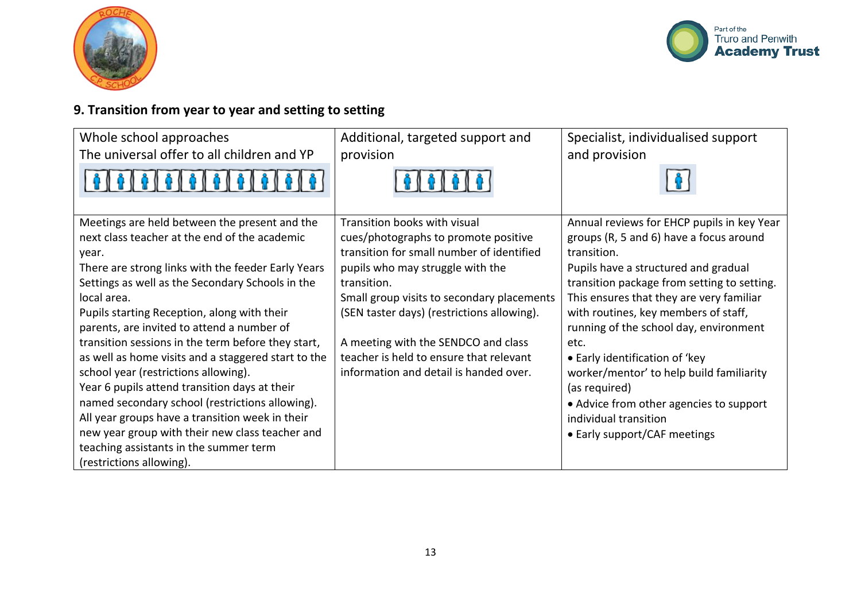



# **9. Transition from year to year and setting to setting**

| Whole school approaches                             | Additional, targeted support and           | Specialist, individualised support          |
|-----------------------------------------------------|--------------------------------------------|---------------------------------------------|
| The universal offer to all children and YP          | provision                                  | and provision                               |
| 0   0   0   0   0                                   |                                            |                                             |
| Meetings are held between the present and the       | Transition books with visual               | Annual reviews for EHCP pupils in key Year  |
| next class teacher at the end of the academic       | cues/photographs to promote positive       | groups (R, 5 and 6) have a focus around     |
| year.                                               | transition for small number of identified  | transition.                                 |
| There are strong links with the feeder Early Years  | pupils who may struggle with the           | Pupils have a structured and gradual        |
| Settings as well as the Secondary Schools in the    | transition.                                | transition package from setting to setting. |
| local area.                                         | Small group visits to secondary placements | This ensures that they are very familiar    |
| Pupils starting Reception, along with their         | (SEN taster days) (restrictions allowing). | with routines, key members of staff,        |
| parents, are invited to attend a number of          |                                            | running of the school day, environment      |
| transition sessions in the term before they start,  | A meeting with the SENDCO and class        | etc.                                        |
| as well as home visits and a staggered start to the | teacher is held to ensure that relevant    | • Early identification of 'key              |
| school year (restrictions allowing).                | information and detail is handed over.     | worker/mentor' to help build familiarity    |
| Year 6 pupils attend transition days at their       |                                            | (as required)                               |
| named secondary school (restrictions allowing).     |                                            | • Advice from other agencies to support     |
| All year groups have a transition week in their     |                                            | individual transition                       |
| new year group with their new class teacher and     |                                            | • Early support/CAF meetings                |
| teaching assistants in the summer term              |                                            |                                             |
| (restrictions allowing).                            |                                            |                                             |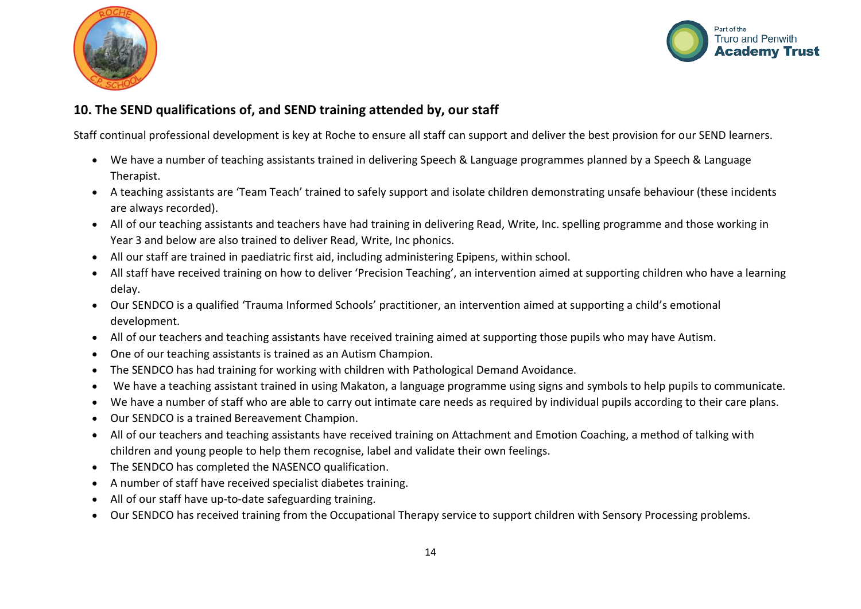



### **10. The SEND qualifications of, and SEND training attended by, our staff**

Staff continual professional development is key at Roche to ensure all staff can support and deliver the best provision for our SEND learners.

- We have a number of teaching assistants trained in delivering Speech & Language programmes planned by a Speech & Language Therapist.
- A teaching assistants are 'Team Teach' trained to safely support and isolate children demonstrating unsafe behaviour (these incidents are always recorded).
- All of our teaching assistants and teachers have had training in delivering Read, Write, Inc. spelling programme and those working in Year 3 and below are also trained to deliver Read, Write, Inc phonics.
- All our staff are trained in paediatric first aid, including administering Epipens, within school.
- All staff have received training on how to deliver 'Precision Teaching', an intervention aimed at supporting children who have a learning delay.
- Our SENDCO is a qualified 'Trauma Informed Schools' practitioner, an intervention aimed at supporting a child's emotional development.
- All of our teachers and teaching assistants have received training aimed at supporting those pupils who may have Autism.
- One of our teaching assistants is trained as an Autism Champion.
- The SENDCO has had training for working with children with Pathological Demand Avoidance.
- We have a teaching assistant trained in using Makaton, a language programme using signs and symbols to help pupils to communicate.
- We have a number of staff who are able to carry out intimate care needs as required by individual pupils according to their care plans.
- Our SENDCO is a trained Bereavement Champion.
- All of our teachers and teaching assistants have received training on Attachment and Emotion Coaching, a method of talking with children and young people to help them recognise, label and validate their own feelings.
- The SENDCO has completed the NASENCO qualification.
- A number of staff have received specialist diabetes training.
- All of our staff have up-to-date safeguarding training.
- Our SENDCO has received training from the Occupational Therapy service to support children with Sensory Processing problems.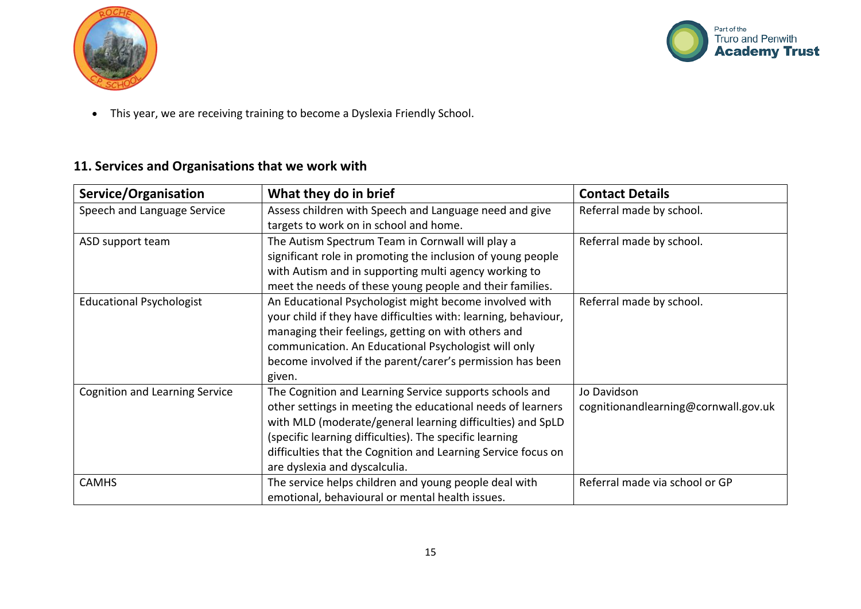



This year, we are receiving training to become a Dyslexia Friendly School.

### **11. Services and Organisations that we work with**

| Service/Organisation                  | What they do in brief                                           | <b>Contact Details</b>               |
|---------------------------------------|-----------------------------------------------------------------|--------------------------------------|
| Speech and Language Service           | Assess children with Speech and Language need and give          | Referral made by school.             |
|                                       | targets to work on in school and home.                          |                                      |
| ASD support team                      | The Autism Spectrum Team in Cornwall will play a                | Referral made by school.             |
|                                       | significant role in promoting the inclusion of young people     |                                      |
|                                       | with Autism and in supporting multi agency working to           |                                      |
|                                       | meet the needs of these young people and their families.        |                                      |
| <b>Educational Psychologist</b>       | An Educational Psychologist might become involved with          | Referral made by school.             |
|                                       | your child if they have difficulties with: learning, behaviour, |                                      |
|                                       | managing their feelings, getting on with others and             |                                      |
|                                       | communication. An Educational Psychologist will only            |                                      |
|                                       | become involved if the parent/carer's permission has been       |                                      |
|                                       | given.                                                          |                                      |
| <b>Cognition and Learning Service</b> | The Cognition and Learning Service supports schools and         | Jo Davidson                          |
|                                       | other settings in meeting the educational needs of learners     | cognitionandlearning@cornwall.gov.uk |
|                                       | with MLD (moderate/general learning difficulties) and SpLD      |                                      |
|                                       | (specific learning difficulties). The specific learning         |                                      |
|                                       | difficulties that the Cognition and Learning Service focus on   |                                      |
|                                       | are dyslexia and dyscalculia.                                   |                                      |
| <b>CAMHS</b>                          | The service helps children and young people deal with           | Referral made via school or GP       |
|                                       | emotional, behavioural or mental health issues.                 |                                      |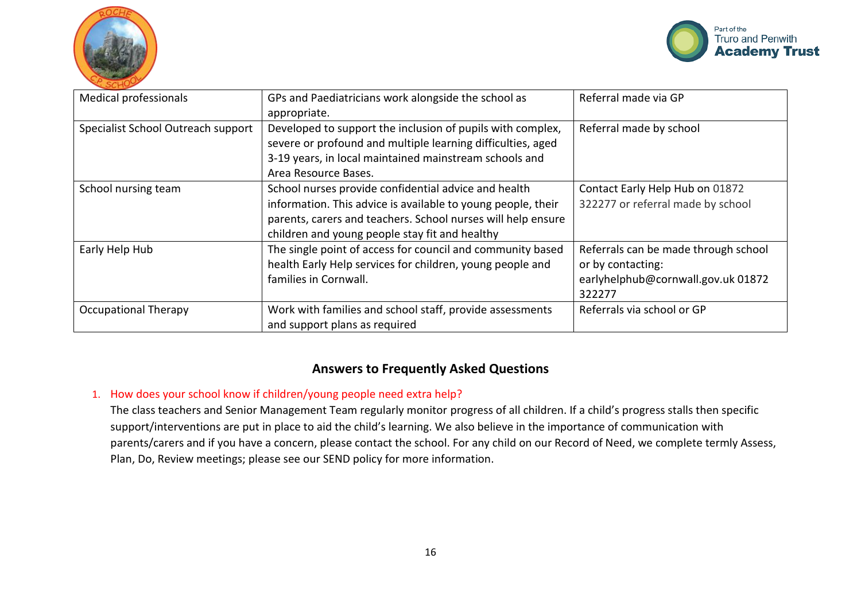



| <b>Medical professionals</b>       | GPs and Paediatricians work alongside the school as<br>appropriate.                                                                                                                                                                    | Referral made via GP                                                                                      |
|------------------------------------|----------------------------------------------------------------------------------------------------------------------------------------------------------------------------------------------------------------------------------------|-----------------------------------------------------------------------------------------------------------|
| Specialist School Outreach support | Developed to support the inclusion of pupils with complex,<br>severe or profound and multiple learning difficulties, aged<br>3-19 years, in local maintained mainstream schools and<br>Area Resource Bases.                            | Referral made by school                                                                                   |
| School nursing team                | School nurses provide confidential advice and health<br>information. This advice is available to young people, their<br>parents, carers and teachers. School nurses will help ensure<br>children and young people stay fit and healthy | Contact Early Help Hub on 01872<br>322277 or referral made by school                                      |
| Early Help Hub                     | The single point of access for council and community based<br>health Early Help services for children, young people and<br>families in Cornwall.                                                                                       | Referrals can be made through school<br>or by contacting:<br>earlyhelphub@cornwall.gov.uk 01872<br>322277 |
| <b>Occupational Therapy</b>        | Work with families and school staff, provide assessments<br>and support plans as required                                                                                                                                              | Referrals via school or GP                                                                                |

### **Answers to Frequently Asked Questions**

### 1. How does your school know if children/young people need extra help?

The class teachers and Senior Management Team regularly monitor progress of all children. If a child's progress stalls then specific support/interventions are put in place to aid the child's learning. We also believe in the importance of communication with parents/carers and if you have a concern, please contact the school. For any child on our Record of Need, we complete termly Assess, Plan, Do, Review meetings; please see our SEND policy for more information.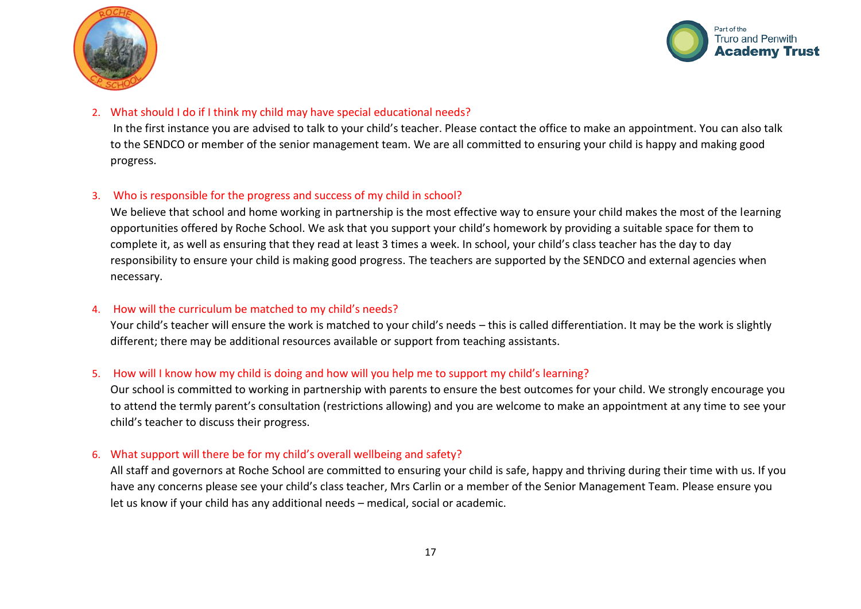



#### 2. What should I do if I think my child may have special educational needs?

In the first instance you are advised to talk to your child's teacher. Please contact the office to make an appointment. You can also talk to the SENDCO or member of the senior management team. We are all committed to ensuring your child is happy and making good progress.

### 3. Who is responsible for the progress and success of my child in school?

We believe that school and home working in partnership is the most effective way to ensure your child makes the most of the learning opportunities offered by Roche School. We ask that you support your child's homework by providing a suitable space for them to complete it, as well as ensuring that they read at least 3 times a week. In school, your child's class teacher has the day to day responsibility to ensure your child is making good progress. The teachers are supported by the SENDCO and external agencies when necessary.

### 4. How will the curriculum be matched to my child's needs?

Your child's teacher will ensure the work is matched to your child's needs – this is called differentiation. It may be the work is slightly different; there may be additional resources available or support from teaching assistants.

### 5. How will I know how my child is doing and how will you help me to support my child's learning?

Our school is committed to working in partnership with parents to ensure the best outcomes for your child. We strongly encourage you to attend the termly parent's consultation (restrictions allowing) and you are welcome to make an appointment at any time to see your child's teacher to discuss their progress.

#### 6. What support will there be for my child's overall wellbeing and safety?

All staff and governors at Roche School are committed to ensuring your child is safe, happy and thriving during their time with us. If you have any concerns please see your child's class teacher, Mrs Carlin or a member of the Senior Management Team. Please ensure you let us know if your child has any additional needs – medical, social or academic.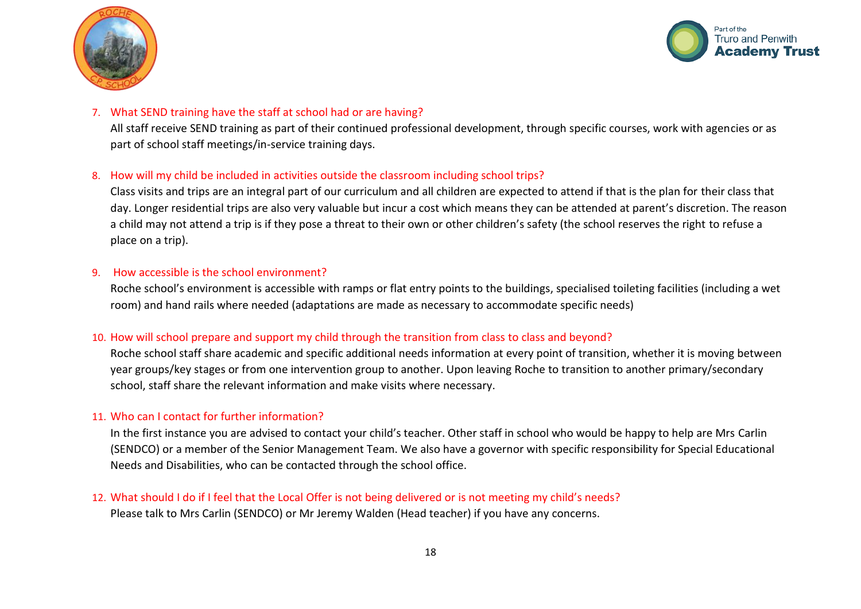



#### 7. What SEND training have the staff at school had or are having?

All staff receive SEND training as part of their continued professional development, through specific courses, work with agencies or as part of school staff meetings/in-service training days.

#### 8. How will my child be included in activities outside the classroom including school trips?

Class visits and trips are an integral part of our curriculum and all children are expected to attend if that is the plan for their class that day. Longer residential trips are also very valuable but incur a cost which means they can be attended at parent's discretion. The reason a child may not attend a trip is if they pose a threat to their own or other children's safety (the school reserves the right to refuse a place on a trip).

#### 9. How accessible is the school environment?

Roche school's environment is accessible with ramps or flat entry points to the buildings, specialised toileting facilities (including a wet room) and hand rails where needed (adaptations are made as necessary to accommodate specific needs)

#### 10. How will school prepare and support my child through the transition from class to class and beyond?

Roche school staff share academic and specific additional needs information at every point of transition, whether it is moving between year groups/key stages or from one intervention group to another. Upon leaving Roche to transition to another primary/secondary school, staff share the relevant information and make visits where necessary.

#### 11. Who can I contact for further information?

In the first instance you are advised to contact your child's teacher. Other staff in school who would be happy to help are Mrs Carlin (SENDCO) or a member of the Senior Management Team. We also have a governor with specific responsibility for Special Educational Needs and Disabilities, who can be contacted through the school office.

### 12. What should I do if I feel that the Local Offer is not being delivered or is not meeting my child's needs?

Please talk to Mrs Carlin (SENDCO) or Mr Jeremy Walden (Head teacher) if you have any concerns.